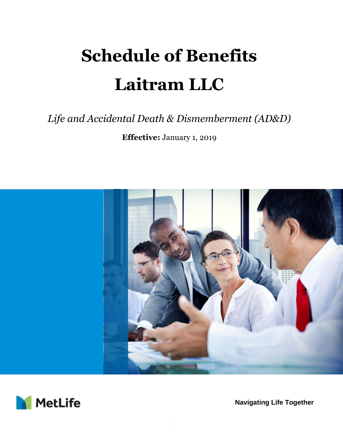# **Schedule of Benefits Laitram LLC**

# *Life and Accidental Death & Dismemberment (AD&D)*

**Effective:** January 1, 2019



.



**Navigating Life Together**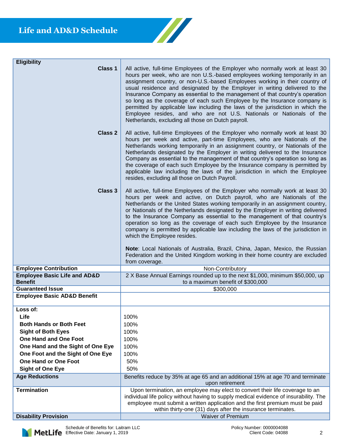| <b>Eligibility</b><br>Class 1                             | All active, full-time Employees of the Employer who normally work at least 30<br>hours per week, who are non U.S.-based employees working temporarily in an<br>assignment country, or non-U.S.-based Employees working in their country of<br>usual residence and designated by the Employer in writing delivered to the<br>Insurance Company as essential to the management of that country's operation<br>so long as the coverage of each such Employee by the Insurance company is<br>permitted by applicable law including the laws of the jurisdiction in which the<br>Employee resides, and who are not U.S. Nationals or Nationals of the<br>Netherlands, excluding all those on Dutch payroll.                                                                   |
|-----------------------------------------------------------|--------------------------------------------------------------------------------------------------------------------------------------------------------------------------------------------------------------------------------------------------------------------------------------------------------------------------------------------------------------------------------------------------------------------------------------------------------------------------------------------------------------------------------------------------------------------------------------------------------------------------------------------------------------------------------------------------------------------------------------------------------------------------|
| <b>Class 2</b>                                            | All active, full-time Employees of the Employer who normally work at least 30<br>hours per week and active, part-time Employees, who are Nationals of the<br>Netherlands working temporarily in an assignment country, or Nationals of the<br>Netherlands designated by the Employer in writing delivered to the Insurance<br>Company as essential to the management of that country's operation so long as<br>the coverage of each such Employee by the Insurance company is permitted by<br>applicable law including the laws of the jurisdiction in which the Employee<br>resides, excluding all those on Dutch Payroll.                                                                                                                                              |
| Class 3                                                   | All active, full-time Employees of the Employer who normally work at least 30<br>hours per week and active, on Dutch payroll, who are Nationals of the<br>Netherlands or the United States working temporarily in an assignment country,<br>or Nationals of the Netherlands designated by the Employer in writing delivered<br>to the Insurance Company as essential to the management of that country's<br>operation so long as the coverage of each such Employee by the Insurance<br>company is permitted by applicable law including the laws of the jurisdiction in<br>which the Employee resides.<br>Note: Local Nationals of Australia, Brazil, China, Japan, Mexico, the Russian<br>Federation and the United Kingdom working in their home country are excluded |
|                                                           | from coverage.                                                                                                                                                                                                                                                                                                                                                                                                                                                                                                                                                                                                                                                                                                                                                           |
| <b>Employee Contribution</b>                              | Non-Contributory                                                                                                                                                                                                                                                                                                                                                                                                                                                                                                                                                                                                                                                                                                                                                         |
| <b>Employee Basic Life and AD&amp;D</b><br><b>Benefit</b> | 2 X Base Annual Earnings rounded up to the next \$1,000, minimum \$50,000, up<br>to a maximum benefit of \$300,000                                                                                                                                                                                                                                                                                                                                                                                                                                                                                                                                                                                                                                                       |
| <b>Guaranteed Issue</b>                                   | \$300,000                                                                                                                                                                                                                                                                                                                                                                                                                                                                                                                                                                                                                                                                                                                                                                |
| <b>Employee Basic AD&amp;D Benefit</b>                    |                                                                                                                                                                                                                                                                                                                                                                                                                                                                                                                                                                                                                                                                                                                                                                          |
| Loss of:                                                  |                                                                                                                                                                                                                                                                                                                                                                                                                                                                                                                                                                                                                                                                                                                                                                          |
| Life                                                      | 100%                                                                                                                                                                                                                                                                                                                                                                                                                                                                                                                                                                                                                                                                                                                                                                     |
| <b>Both Hands or Both Feet</b>                            | 100%                                                                                                                                                                                                                                                                                                                                                                                                                                                                                                                                                                                                                                                                                                                                                                     |
| <b>Sight of Both Eyes</b>                                 | 100%                                                                                                                                                                                                                                                                                                                                                                                                                                                                                                                                                                                                                                                                                                                                                                     |
| <b>One Hand and One Foot</b>                              | 100%                                                                                                                                                                                                                                                                                                                                                                                                                                                                                                                                                                                                                                                                                                                                                                     |
| One Hand and the Sight of One Eye                         | 100%                                                                                                                                                                                                                                                                                                                                                                                                                                                                                                                                                                                                                                                                                                                                                                     |
| One Foot and the Sight of One Eye                         | 100%                                                                                                                                                                                                                                                                                                                                                                                                                                                                                                                                                                                                                                                                                                                                                                     |
| One Hand or One Foot                                      | 50%                                                                                                                                                                                                                                                                                                                                                                                                                                                                                                                                                                                                                                                                                                                                                                      |
| <b>Sight of One Eye</b>                                   | 50%                                                                                                                                                                                                                                                                                                                                                                                                                                                                                                                                                                                                                                                                                                                                                                      |
| <b>Age Reductions</b>                                     | Benefits reduce by 35% at age 65 and an additional 15% at age 70 and terminate                                                                                                                                                                                                                                                                                                                                                                                                                                                                                                                                                                                                                                                                                           |
|                                                           | upon retirement                                                                                                                                                                                                                                                                                                                                                                                                                                                                                                                                                                                                                                                                                                                                                          |
| <b>Termination</b>                                        | Upon termination, an employee may elect to convert their life coverage to an<br>individual life policy without having to supply medical evidence of insurability. The                                                                                                                                                                                                                                                                                                                                                                                                                                                                                                                                                                                                    |
|                                                           | employee must submit a written application and the first premium must be paid<br>within thirty-one (31) days after the insurance terminates.                                                                                                                                                                                                                                                                                                                                                                                                                                                                                                                                                                                                                             |

 $\sqrt{2}$